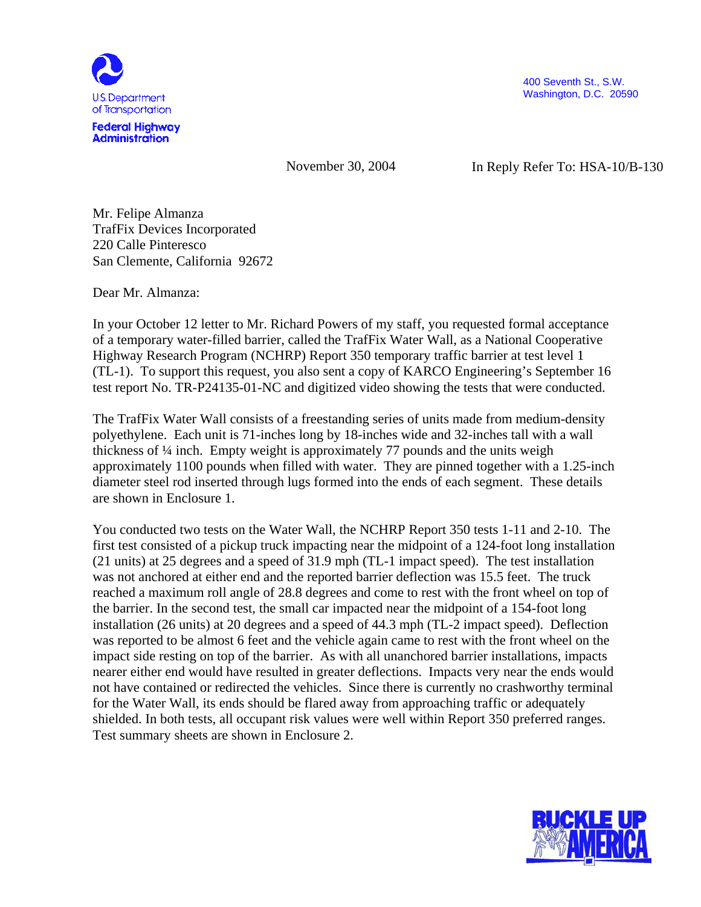

400 Seventh St., S.W. Washington, D.C. 20590

November 30, 2004

In Reply Refer To: HSA-10/B-130

 Mr. Felipe Almanza TrafFix Devices Incorporated 220 Calle Pinteresco San Clemente, California 92672

Dear Mr. Almanza:

In your October 12 letter to Mr. Richard Powers of my staff, you requested formal acceptance of a temporary water-filled barrier, called the TrafFix Water Wall, as a National Cooperative Highway Research Program (NCHRP) Report 350 temporary traffic barrier at test level 1 (TL-1). To support this request, you also sent a copy of KARCO Engineering's September 16 test report No. TR-P24135-01-NC and digitized video showing the tests that were conducted.

The TrafFix Water Wall consists of a freestanding series of units made from medium-density polyethylene. Each unit is 71-inches long by 18-inches wide and 32-inches tall with a wall thickness of ¼ inch. Empty weight is approximately 77 pounds and the units weigh approximately 1100 pounds when filled with water. They are pinned together with a 1.25-inch diameter steel rod inserted through lugs formed into the ends of each segment. These details are shown in Enclosure 1.

You conducted two tests on the Water Wall, the NCHRP Report 350 tests 1-11 and 2-10. The first test consisted of a pickup truck impacting near the midpoint of a 124-foot long installation (21 units) at 25 degrees and a speed of 31.9 mph (TL-1 impact speed). The test installation was not anchored at either end and the reported barrier deflection was 15.5 feet. The truck reached a maximum roll angle of 28.8 degrees and come to rest with the front wheel on top of the barrier. In the second test, the small car impacted near the midpoint of a 154-foot long installation (26 units) at 20 degrees and a speed of 44.3 mph (TL-2 impact speed). Deflection was reported to be almost 6 feet and the vehicle again came to rest with the front wheel on the impact side resting on top of the barrier. As with all unanchored barrier installations, impacts nearer either end would have resulted in greater deflections. Impacts very near the ends would not have contained or redirected the vehicles. Since there is currently no crashworthy terminal for the Water Wall, its ends should be flared away from approaching traffic or adequately shielded. In both tests, all occupant risk values were well within Report 350 preferred ranges. Test summary sheets are shown in Enclosure 2.

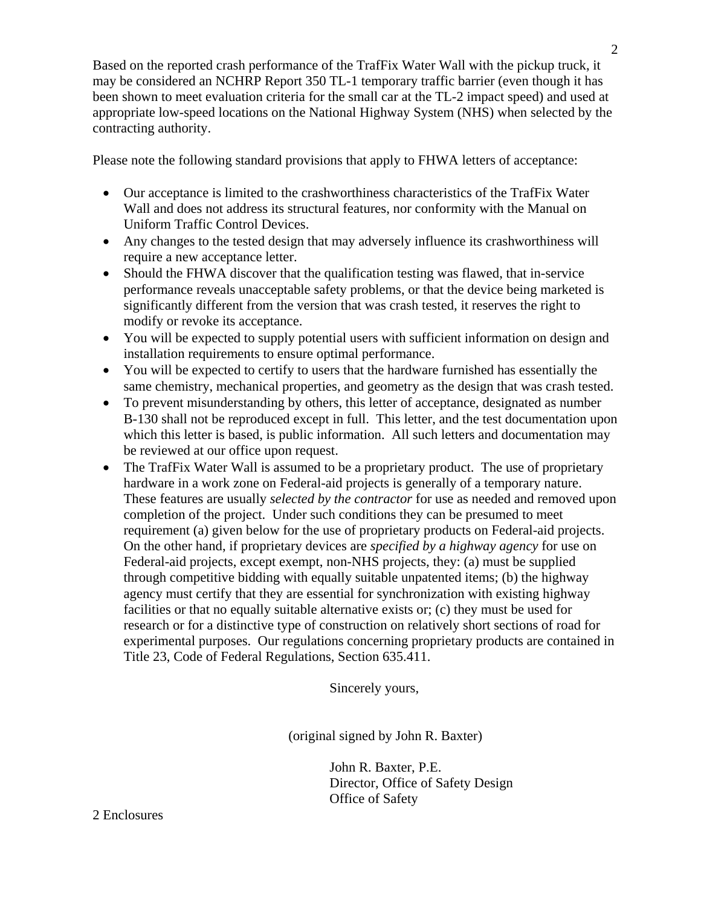Based on the reported crash performance of the TrafFix Water Wall with the pickup truck, it may be considered an NCHRP Report 350 TL-1 temporary traffic barrier (even though it has been shown to meet evaluation criteria for the small car at the TL-2 impact speed) and used at appropriate low-speed locations on the National Highway System (NHS) when selected by the contracting authority.

Please note the following standard provisions that apply to FHWA letters of acceptance:

- Our acceptance is limited to the crashworthiness characteristics of the TrafFix Water Wall and does not address its structural features, nor conformity with the Manual on Uniform Traffic Control Devices.
- Any changes to the tested design that may adversely influence its crashworthiness will require a new acceptance letter.
- Should the FHWA discover that the qualification testing was flawed, that in-service performance reveals unacceptable safety problems, or that the device being marketed is significantly different from the version that was crash tested, it reserves the right to modify or revoke its acceptance.
- You will be expected to supply potential users with sufficient information on design and installation requirements to ensure optimal performance.
- You will be expected to certify to users that the hardware furnished has essentially the same chemistry, mechanical properties, and geometry as the design that was crash tested.
- To prevent misunderstanding by others, this letter of acceptance, designated as number B-130 shall not be reproduced except in full. This letter, and the test documentation upon which this letter is based, is public information. All such letters and documentation may be reviewed at our office upon request.
- The TrafFix Water Wall is assumed to be a proprietary product. The use of proprietary hardware in a work zone on Federal-aid projects is generally of a temporary nature. These features are usually *selected by the contractor* for use as needed and removed upon completion of the project. Under such conditions they can be presumed to meet requirement (a) given below for the use of proprietary products on Federal-aid projects. On the other hand, if proprietary devices are *specified by a highway agency* for use on Federal-aid projects, except exempt, non-NHS projects, they: (a) must be supplied through competitive bidding with equally suitable unpatented items; (b) the highway agency must certify that they are essential for synchronization with existing highway facilities or that no equally suitable alternative exists or; (c) they must be used for research or for a distinctive type of construction on relatively short sections of road for experimental purposes. Our regulations concerning proprietary products are contained in Title 23, Code of Federal Regulations, Section 635.411.

Sincerely yours,

(original signed by John R. Baxter)

John R. Baxter, P.E. Director, Office of Safety Design Office of Safety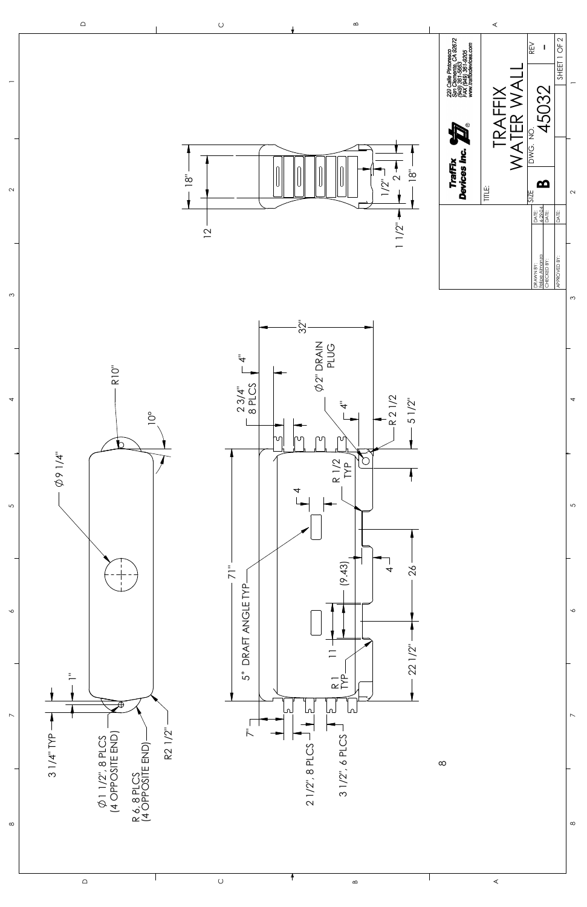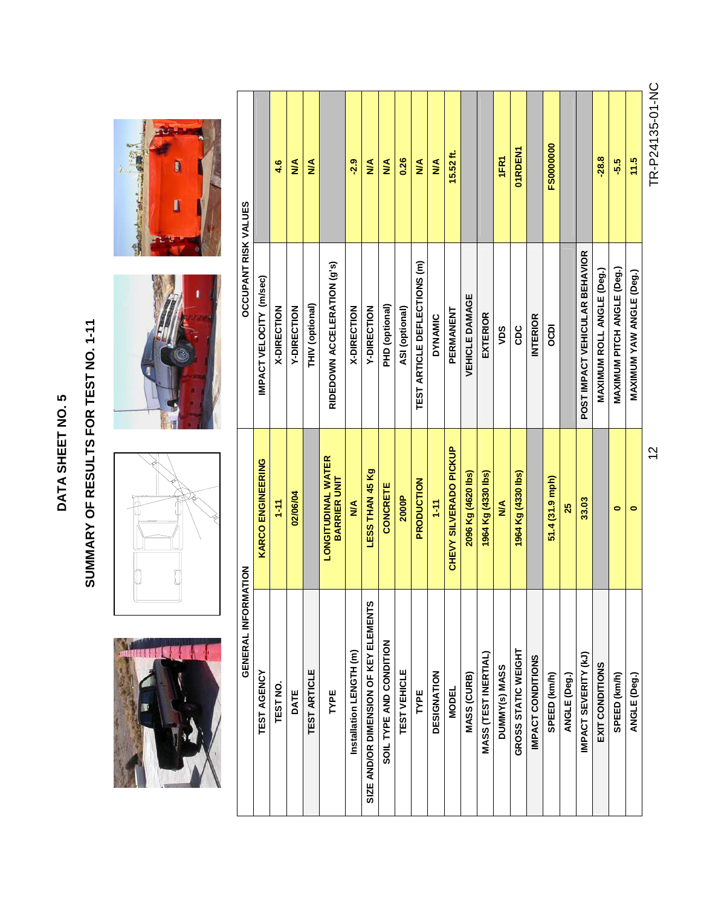| ഥ           |  |
|-------------|--|
| O           |  |
|             |  |
| L           |  |
| α<br>נ<br>S |  |
| ŀ           |  |
|             |  |

## SUMMARY OF RESULTS FOR TEST NO. 1-11 **SUMMARY OF RESULTS FOR TEST NO. 1-11**





0



| TR-P24135-01-NC  |                                   | 12                                               |                                       |
|------------------|-----------------------------------|--------------------------------------------------|---------------------------------------|
| 11.5             | MAXIMUM YAW ANGLE (Deg.)          | $\bullet$                                        | ANGLE (Deg.)                          |
| -5.5             | <b>MAXIMUM PITCH ANGLE (Deg.)</b> | $\bullet$                                        | SPEED (km/h)                          |
| $-28.8$          | <b>MAXIMUM ROLL ANGLE (Deg.)</b>  |                                                  | EXIT CONDITIONS                       |
|                  | POST IMPACT VEHICULAR BEHAVIOR    | 33.03                                            | IMPACT SEVERITY (kJ)                  |
|                  |                                   | 25                                               | ANGLE (Deg.)                          |
| <b>FS0000000</b> | DCDI                              | 51.4 (31.9 mph)                                  | SPEED (km/h)                          |
|                  | <b>INTERIOR</b>                   |                                                  | IMPACT CONDITIONS                     |
| 01RDEN1          | CDC                               | 1964 Kg (4330 lbs)                               | GROSS STATIC WEIGHT                   |
| 1FR1             | vns                               | $\frac{4}{2}$                                    | DUMMY(s) MASS                         |
|                  | <b>EXTERIOR</b>                   | 1964 Kg (4330 lbs)                               | <b>MASS (TEST INERTIAL)</b>           |
|                  | <b>VEHICLE DAMAGE</b>             | 2096 Kg (4620 lbs)                               | <b>MASS (CURB)</b>                    |
| $15.52$ ft.      | PERMANENT                         | CHEVY SILVERADO PICKUP                           | <b>MODEL</b>                          |
| ⋚                | <b>DYNAMIC</b>                    | $1 - 11$                                         | DESIGNATION                           |
| $\leq$           | TEST ARTICLE DEFLECTIONS (m)      | PRODUCTION                                       | TYPE                                  |
| 0.26             | ASI (optional)                    | 2000P                                            | TEST VEHICLE                          |
| $\frac{4}{2}$    | PHD (optional)                    | CONCRETE                                         | SOIL TYPE AND CONDITION               |
| ≸                | Y-DIRECTION                       | LESS THAN 45 Kg                                  | SIZE AND/OR DIMENSION OF KEY ELEMENTS |
| $-2.9$           | X-DIRECTION                       | $\frac{4}{2}$                                    | Installation LENGTH (m)               |
|                  | RIDEDOWN ACCELERATION (g's)       | <b>LONGITUDINAL WATER</b><br><b>BARRIER UNIT</b> | TYPE                                  |
| ≸                | THIV (optional)                   |                                                  | TEST ARTICLE                          |
| ⋚                | Y-DIRECTION                       | 02/06/04                                         | DATE                                  |
| 4.6              | X-DIRECTION                       | $1-11$                                           | TEST NO.                              |
|                  | IMPACT VELOCITY (m/sec)           | <b>KARCO ENGINEERING</b>                         | TEST AGENCY                           |
|                  | <b>DCCUPANT RISK VALUES</b>       | MATION                                           | GENERAL INFORI                        |

TR-P24135-01-NC TR-P24135-01-NC